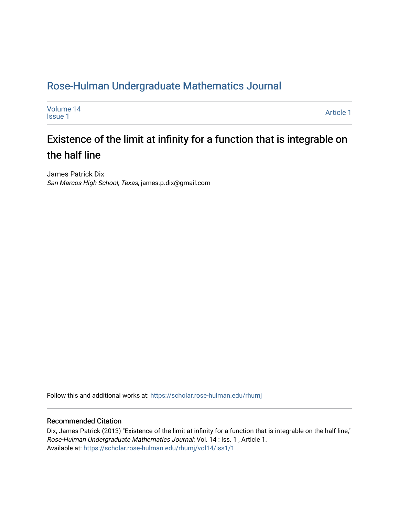# [Rose-Hulman Undergraduate Mathematics Journal](https://scholar.rose-hulman.edu/rhumj)

| Volume 14<br><b>Issue 1</b> | Article 1 |
|-----------------------------|-----------|
|-----------------------------|-----------|

# Existence of the limit at infinity for a function that is integrable on the half line

James Patrick Dix San Marcos High School, Texas, james.p.dix@gmail.com

Follow this and additional works at: [https://scholar.rose-hulman.edu/rhumj](https://scholar.rose-hulman.edu/rhumj?utm_source=scholar.rose-hulman.edu%2Frhumj%2Fvol14%2Fiss1%2F1&utm_medium=PDF&utm_campaign=PDFCoverPages)

#### Recommended Citation

Dix, James Patrick (2013) "Existence of the limit at infinity for a function that is integrable on the half line," Rose-Hulman Undergraduate Mathematics Journal: Vol. 14 : Iss. 1 , Article 1. Available at: [https://scholar.rose-hulman.edu/rhumj/vol14/iss1/1](https://scholar.rose-hulman.edu/rhumj/vol14/iss1/1?utm_source=scholar.rose-hulman.edu%2Frhumj%2Fvol14%2Fiss1%2F1&utm_medium=PDF&utm_campaign=PDFCoverPages)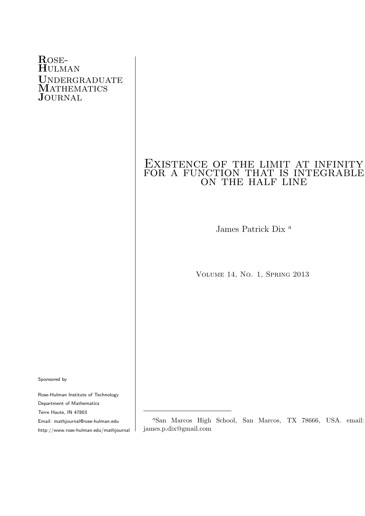#### Rose-Hulman UNDERGRADUATE **MATHEMATICS JOURNAL**

## Existence of the limit at infinity EXISTENCE OF THE LIMIT AT INFINITY on the half line

James Patrick Dix <sup>a</sup>

Volume 14, No. 1, Spring 2013

Sponsored by

Rose-Hulman Institute of Technology Department of Mathematics Terre Haute, IN 47803

Email: mathjournal@rose-hulman.edu

http://www.rose-hulman.edu/mathjournal

<sup>a</sup>San Marcos High School, San Marcos, TX 78666, USA. email: james.p.dix@gmail.com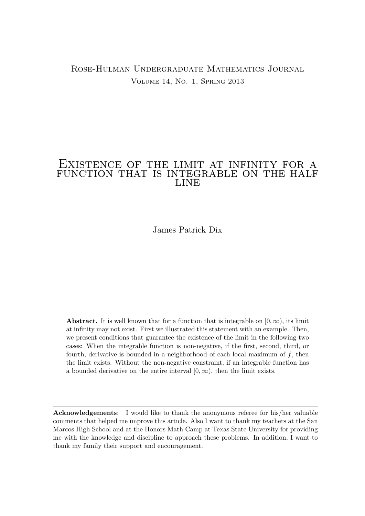#### Rose-Hulman Undergraduate Mathematics Journal Volume 14, No. 1, Spring 2013

#### Existence of the limit at infinity for a function that is integrable on the half **LINE**

James Patrick Dix

**Abstract.** It is well known that for a function that is integrable on  $[0, \infty)$ , its limit at infinity may not exist. First we illustrated this statement with an example. Then, we present conditions that guarantee the existence of the limit in the following two cases: When the integrable function is non-negative, if the first, second, third, or fourth, derivative is bounded in a neighborhood of each local maximum of  $f$ , then the limit exists. Without the non-negative constraint, if an integrable function has a bounded derivative on the entire interval  $[0, \infty)$ , then the limit exists.

Acknowledgements: I would like to thank the anonymous referee for his/her valuable comments that helped me improve this article. Also I want to thank my teachers at the San Marcos High School and at the Honors Math Camp at Texas State University for providing me with the knowledge and discipline to approach these problems. In addition, I want to thank my family their support and encouragement.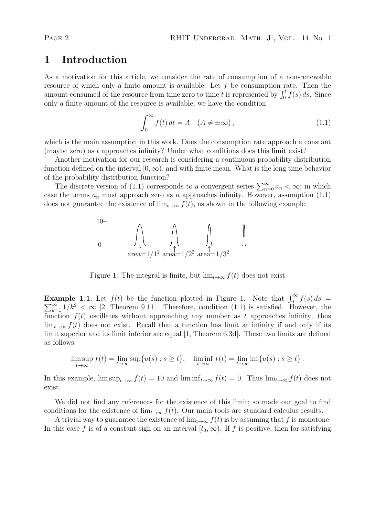### 1 Introduction

As a motivation for this article, we consider the rate of consumption of a non-renewable resource of which only a finite amount is available. Let  $f$  be consumption rate. Then the amount consumed of the resource from time zero to time t is represented by  $\int_0^t f(s) ds$ . Since only a finite amount of the resource is available, we have the condition

$$
\int_0^\infty f(t) dt = A \quad (A \neq \pm \infty), \tag{1.1}
$$

which is the main assumption in this work. Does the consumption rate approach a constant (maybe zero) as t approaches infinity? Under what conditions does this limit exist?

Another motivation for our research is considering a continuous probability distribution function defined on the interval  $[0, \infty)$ , and with finite mean. What is the long time behavior of the probability distribution function?

The discrete version of (1.1) corresponds to a convergent series  $\sum_{n=0}^{\infty} a_n < \infty$ ; in which case the terms  $a_n$  must approach zero as n approaches infinity. However, assumption  $(1.1)$ does not guarantee the existence of  $\lim_{t\to\infty} f(t)$ , as shown in the following example.



Figure 1: The integral is finite, but  $\lim_{t\to\infty} f(t)$  does not exist

**Example 1.1.** Let  $f(t)$  be the function plotted in Figure 1. Note that  $\int_0^{\infty} \sum_{k=1}^{\infty} 1/k^2 < \infty$  [2, Theorem 9.11]. Therefore, condition (1.1) is satisfied. Ho **cample 1.1.** Let  $f(t)$  be the function plotted in Figure 1. Note that  $\int_0^{\infty} f(s) ds =$ <br> $\sum_{k=1}^{\infty} 1/k^2 < \infty$  [2, Theorem 9.11]. Therefore, condition (1.1) is satisfied. However, the function  $f(t)$  oscillates without approaching any number as t approaches infinity; thus  $\lim_{t\to\infty} f(t)$  does not exist. Recall that a function has limit at infinity if and only if its limit superior and its limit inferior are equal [1, Theorem 6.3d]. These two limits are defined as follows:

$$
\limsup_{t \to \infty} f(t) = \lim_{t \to \infty} \sup \{ u(s) : s \ge t \}, \quad \liminf_{t \to \infty} f(t) = \lim_{t \to \infty} \inf \{ u(s) : s \ge t \}.
$$

In this example,  $\limsup_{t\to\infty} f(t) = 10$  and  $\liminf_{t\to\infty} f(t) = 0$ . Thus  $\lim_{t\to\infty} f(t)$  does not exist.

We did not find any references for the existence of this limit; so made our goal to find conditions for the existence of  $\lim_{t\to\infty} f(t)$ . Our main tools are standard calculus results.

A trivial way to guarantee the existence of  $\lim_{t\to\infty} f(t)$  is by assuming that f is monotone. In this case f is of a constant sign on an interval  $[t_0, \infty)$ . If f is positive, then for satisfying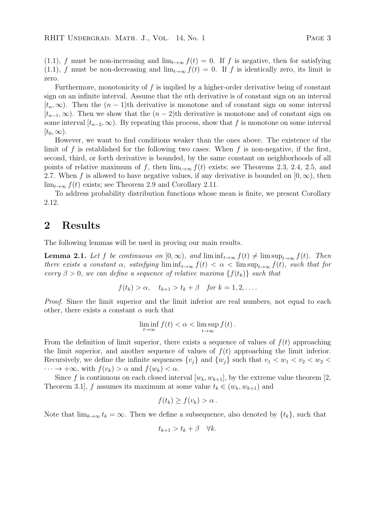(1.1), f must be non-increasing and  $\lim_{t\to\infty} f(t) = 0$ . If f is negative, then for satisfying (1.1), f must be non-decreasing and  $\lim_{t\to\infty} f(t) = 0$ . If f is identically zero, its limit is zero.

Furthermore, monotonicity of  $f$  is implied by a higher-order derivative being of constant sign on an infinite interval. Assume that the *n*th derivative is of constant sign on an interval  $[t_n,\infty)$ . Then the  $(n-1)$ th derivative is monotone and of constant sign on some interval  $[t_{n-1},\infty)$ . Then we show that the  $(n-2)$ th derivative is monotone and of constant sign on some interval  $[t_{n-2}, \infty)$ . By repeating this process, show that f is monotone on some interval  $[t_0,\infty)$ .

However, we want to find conditions weaker than the ones above. The existence of the limit of f is established for the following two cases: When f is non-negative, if the first, second, third, or forth derivative is bounded, by the same constant on neighborhoods of all points of relative maximum of f, then  $\lim_{t\to\infty} f(t)$  exists; see Theorems 2.3, 2.4, 2.5, and 2.7. When f is allowed to have negative values, if any derivative is bounded on  $[0, \infty)$ , then  $\lim_{t\to\infty} f(t)$  exists; see Theorem 2.9 and Corollary 2.11.

To address probability distribution functions whose mean is finite, we present Corollary 2.12.

### 2 Results

The following lemmas will be used in proving our main results.

**Lemma 2.1.** Let f be continuous on  $[0, \infty)$ , and  $\liminf_{t\to\infty} f(t) \neq \limsup_{t\to\infty} f(t)$ . Then there exists a constant  $\alpha$ , satisfying  $\liminf_{t\to\infty} f(t) < \alpha < \limsup_{t\to\infty} f(t)$ , such that for every  $\beta > 0$ , we can define a sequence of relative maxima  $\{f(t_k)\}\$  such that

$$
f(t_k) > \alpha, \quad t_{k+1} > t_k + \beta \quad \text{for } k = 1, 2, \dots.
$$

Proof. Since the limit superior and the limit inferior are real numbers, not equal to each other, there exists a constant  $\alpha$  such that

$$
\liminf_{t\to\infty}f(t)<\alpha<\limsup_{t\to\infty}f(t)\,.
$$

From the definition of limit superior, there exists a sequence of values of  $f(t)$  approaching the limit superior, and another sequence of values of  $f(t)$  approaching the limit inferior. Recursively, we define the infinite sequences  $\{v_i\}$  and  $\{w_i\}$  such that  $v_1 < w_1 < v_2 < w_2 <$  $\cdots \rightarrow +\infty$ , with  $f(v_k) > \alpha$  and  $f(w_k) < \alpha$ .

Since f is continuous on each closed interval  $[w_k, w_{k+1}]$ , by the extreme value theorem [2, Theorem 3.1, f assumes its maximum at some value  $t_k \in (w_k, w_{k+1})$  and

$$
f(t_k) \ge f(v_k) > \alpha.
$$

Note that  $\lim_{k\to\infty} t_k = \infty$ . Then we define a subsequence, also denoted by  $\{t_k\}$ , such that

$$
t_{k+1} > t_k + \beta \quad \forall k.
$$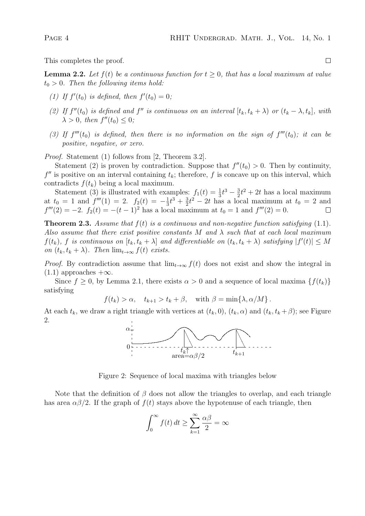This completes the proof.

**Lemma 2.2.** Let  $f(t)$  be a continuous function for  $t \geq 0$ , that has a local maximum at value  $t_0 > 0$ . Then the following items hold:

- (1) If  $f'(t_0)$  is defined, then  $f'(t_0) = 0$ ;
- (2) If  $f''(t_0)$  is defined and  $f''$  is continuous on an interval  $[t_k, t_k + \lambda)$  or  $(t_k \lambda, t_k]$ , with  $\lambda > 0$ , then  $f''(t_0) \leq 0$ ;
- (3) If  $f'''(t_0)$  is defined, then there is no information on the sign of  $f'''(t_0)$ ; it can be positive, negative, or zero.

Proof. Statement (1) follows from [2, Theorem 3.2].

Statement (2) is proven by contradiction. Suppose that  $f''(t_0) > 0$ . Then by continuity,  $f''$  is positive on an interval containing  $t_k$ ; therefore, f is concave up on this interval, which contradicts  $f(t_k)$  being a local maximum.

Statement (3) is illustrated with examples:  $f_1(t) = \frac{1}{3}t^3 - \frac{3}{2}$  $\frac{3}{2}t^2 + 2t$  has a local maximum at  $t_0 = 1$  and  $f'''(1) = 2$ .  $f_2(t) = -\frac{1}{3}$  $\frac{1}{3}t^3 + \frac{3}{2}$  $\frac{3}{2}t^2 - 2t$  has a local maximum at  $t_0 = 2$  and  $f'''(2) = -2.$   $f_2(t) = -(t-1)^2$  has a local maximum at  $t_0 = 1$  and  $f'''(2) = 0$ .

**Theorem 2.3.** Assume that  $f(t)$  is a continuous and non-negative function satisfying  $(1.1)$ . Also assume that there exist positive constants M and  $\lambda$  such that at each local maximum  $f(t_k)$ , f is continuous on  $[t_k, t_k + \lambda]$  and differentiable on  $(t_k, t_k + \lambda)$  satisfying  $|f'(t)| \leq M$ on  $(t_k, t_k + \lambda)$ . Then  $\lim_{t\to\infty} f(t)$  exists.

*Proof.* By contradiction assume that  $\lim_{t\to\infty} f(t)$  does not exist and show the integral in  $(1.1)$  approaches  $+\infty$ .

Since  $f \geq 0$ , by Lemma 2.1, there exists  $\alpha > 0$  and a sequence of local maxima  $\{f(t_k)\}\$ satisfying

$$
f(t_k) > \alpha
$$
,  $t_{k+1} > t_k + \beta$ , with  $\beta = \min\{\lambda, \alpha/M\}$ .

At each  $t_k$ , we draw a right triangle with vertices at  $(t_k, 0)$ ,  $(t_k, \alpha)$  and  $(t_k, t_k + \beta)$ ; see Figure 2.



Figure 2: Sequence of local maxima with triangles below

Note that the definition of  $\beta$  does not allow the triangles to overlap, and each triangle has area  $\alpha\beta/2$ . If the graph of  $f(t)$  stays above the hypotenuse of each triangle, then

$$
\int_0^\infty f(t) \, dt \ge \sum_{k=1}^\infty \frac{\alpha \beta}{2} = \infty
$$

 $\Box$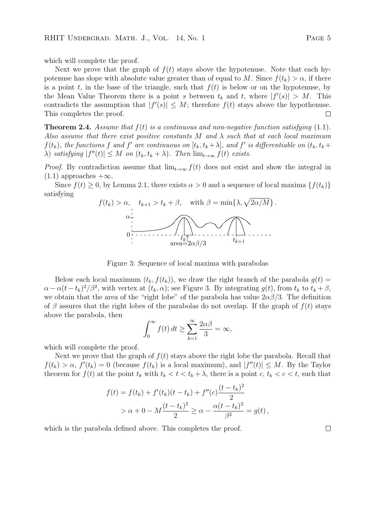which will complete the proof.

Next we prove that the graph of  $f(t)$  stays above the hypotenuse. Note that each hypotenuse has slope with absolute value greater than of equal to M. Since  $f(t_k) > \alpha$ , if there is a point t, in the base of the triangle, such that  $f(t)$  is below or on the hypotenuse, by the Mean Value Theorem there is a point s between  $t_k$  and t, where  $|f'(s)| > M$ . This contradicts the assumption that  $|f'(s)| \leq M$ ; therefore  $f(t)$  stays above the hypothenuse. This completes the proof.  $\Box$ 

**Theorem 2.4.** Assume that  $f(t)$  is a continuous and non-negative function satisfying  $(1.1)$ . Also assume that there exist positive constants M and  $\lambda$  such that at each local maximum  $f(t_k)$ , the functions f and f' are continuous on  $[t_k, t_k + \lambda]$ , and f' is differentiable on  $(t_k, t_k + \lambda)$  $\lambda$ ) satisfying  $|f''(t)| \leq M$  on  $(t_k, t_k + \lambda)$ . Then  $\lim_{t \to \infty} f(t)$  exists.

*Proof.* By contradiction assume that  $\lim_{t\to\infty} f(t)$  does not exist and show the integral in  $(1.1)$  approaches  $+\infty$ .

Since  $f(t) \geq 0$ , by Lemma 2.1, there exists  $\alpha > 0$  and a sequence of local maxima  $\{f(t_k)\}\$ satisfying



Figure 3: Sequence of local maxima with parabolas

Below each local maximum  $(t_k, f(t_k))$ , we draw the right branch of the parabola  $g(t)$  $\alpha - \alpha(t - t_k)^2/\beta^2$ , with vertex at  $(t_k, \alpha)$ ; see Figure 3. By integrating  $g(t)$ , from  $t_k$  to  $t_k + \beta$ , we obtain that the area of the "right lobe" of the parabola has value  $2\alpha\beta/3$ . The definition of β assures that the right lobes of the parabolas do not overlap. If the graph of  $f(t)$  stays above the parabola, then

$$
\int_0^\infty f(t) \, dt \ge \sum_{k=1}^\infty \frac{2\alpha\beta}{3} = \infty,
$$

which will complete the proof.

Next we prove that the graph of  $f(t)$  stays above the right lobe the parabola. Recall that  $f(t_k) > \alpha$ ,  $f'(t_k) = 0$  (because  $f(t_k)$  is a local maximum), and  $|f''(t)| \leq M$ . By the Taylor theorem for  $f(t)$  at the point  $t_k$  with  $t_k < t < t_k + \lambda$ , there is a point  $c, t_k < c < t$ , such that

$$
f(t) = f(t_k) + f'(t_k)(t - t_k) + f''(c)\frac{(t - t_k)^2}{2}
$$
  
>  $\alpha + 0 - M\frac{(t - t_k)^2}{2} \ge \alpha - \frac{\alpha(t - t_k)^2}{\beta^2} = g(t),$ 

which is the parabola defined above. This completes the proof.

 $\Box$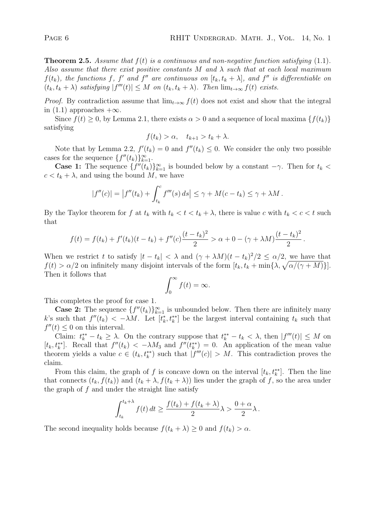**Theorem 2.5.** Assume that  $f(t)$  is a continuous and non-negative function satisfying  $(1.1)$ . Also assume that there exist positive constants M and  $\lambda$  such that at each local maximum  $f(t_k)$ , the functions f, f' and f'' are continuous on  $[t_k, t_k + \lambda]$ , and f'' is differentiable on  $(t_k, t_k + \lambda)$  satisfying  $|f'''(t)| \leq M$  on  $(t_k, t_k + \lambda)$ . Then  $\lim_{t \to \infty} f(t)$  exists.

*Proof.* By contradiction assume that  $\lim_{t\to\infty} f(t)$  does not exist and show that the integral in (1.1) approaches  $+\infty$ .

Since  $f(t) \geq 0$ , by Lemma 2.1, there exists  $\alpha > 0$  and a sequence of local maxima  $\{f(t_k)\}$ satisfying

$$
f(t_k) > \alpha, \quad t_{k+1} > t_k + \lambda.
$$

Note that by Lemma 2.2,  $f'(t_k) = 0$  and  $f''(t_k) \leq 0$ . We consider the only two possible cases for the sequence  $\{f''(t_k)\}_{k=1}^{\infty}$ .

**Case 1:** The sequence  $\{f''(t_k)\}_{k=1}^{\infty}$  is bounded below by a constant  $-\gamma$ . Then for  $t_k$  <  $c < t_k + \lambda$ , and using the bound M, we have

$$
|f''(c)| = |f''(t_k) + \int_{t_k}^c f'''(s) ds| \leq \gamma + M(c - t_k) \leq \gamma + \lambda M.
$$

By the Taylor theorem for f at  $t_k$  with  $t_k < t < t_k + \lambda$ , there is value c with  $t_k < c < t$  such that

$$
f(t) = f(t_k) + f'(t_k)(t - t_k) + f''(c)\frac{(t - t_k)^2}{2} > \alpha + 0 - (\gamma + \lambda M)\frac{(t - t_k)^2}{2}.
$$

When we restrict t to satisfy  $|t - t_k| < \lambda$  and  $(\gamma + \lambda M)(t - t_k)^2/2 \leq \alpha/2$ , we have that  $f(t) > \alpha/2$  on infinitely many disjoint intervals of the form  $[t_k, t_k + \min{\lambda, \sqrt{\alpha/(\gamma + M)}}]$ . Then it follows that

$$
\int_0^\infty f(t) = \infty.
$$

This completes the proof for case 1.

**Case 2:** The sequence  $\{f''(t_k)\}_{k=1}^{\infty}$  is unbounded below. Then there are infinitely many k's such that  $f''(t_k) < -\lambda M$ . Let  $[t_k^*, t_k^{**}]$  be the largest interval containing  $t_k$  such that  $f''(t) \leq 0$  on this interval.

Claim:  $t_k^{**} - t_k \geq \lambda$ . On the contrary suppose that  $t_k^{**} - t_k < \lambda$ , then  $|f'''(t)| \leq M$  on  $[t_k, t_k^{**}]$ . Recall that  $f''(t_k) < -\lambda M_3$  and  $f''(t_k^{**}) = 0$ . An application of the mean value theorem yields a value  $c \in (t_k, t_k^{**})$  such that  $|f'''(c)| > M$ . This contradiction proves the claim.

From this claim, the graph of f is concave down on the interval  $[t_k, t_k^{**}]$ . Then the line that connects  $(t_k, f(t_k))$  and  $(t_k + \lambda, f(t_k + \lambda))$  lies under the graph of f, so the area under the graph of  $f$  and under the straight line satisfy

$$
\int_{t_k}^{t_k+\lambda} f(t) dt \ge \frac{f(t_k) + f(t_k+\lambda)}{2} \lambda > \frac{0+\alpha}{2} \lambda.
$$

The second inequality holds because  $f(t_k + \lambda) \geq 0$  and  $f(t_k) > \alpha$ .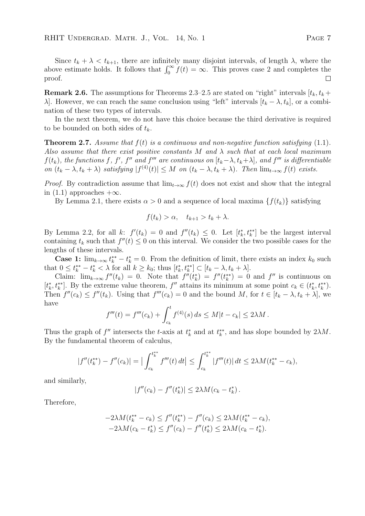Since  $t_k + \lambda < t_{k+1}$ , there are infinitely many disjoint intervals, of length  $\lambda$ , where the above estimate holds. It follows that  $\int_0^\infty f(t) = \infty$ . This proves case 2 and completes the proof.  $\Box$ 

**Remark 2.6.** The assumptions for Theorems 2.3–2.5 are stated on "right" intervals  $[t_k, t_k +$ λ. However, we can reach the same conclusion using "left" intervals  $[t_k - \lambda, t_k]$ , or a combination of these two types of intervals.

In the next theorem, we do not have this choice because the third derivative is required to be bounded on both sides of  $t_k$ .

**Theorem 2.7.** Assume that  $f(t)$  is a continuous and non-negative function satisfying  $(1.1)$ . Also assume that there exist positive constants M and  $\lambda$  such that at each local maximum  $f(t_k)$ , the functions f, f', f'' and f''' are continuous on  $[t_k-\lambda, t_k+\lambda]$ , and f''' is differentiable on  $(t_k - \lambda, t_k + \lambda)$  satisfying  $|f^{(4)}(t)| \leq M$  on  $(t_k - \lambda, t_k + \lambda)$ . Then  $\lim_{t \to \infty} f(t)$  exists.

*Proof.* By contradiction assume that  $\lim_{t\to\infty} f(t)$  does not exist and show that the integral in  $(1.1)$  approaches  $+\infty$ .

By Lemma 2.1, there exists  $\alpha > 0$  and a sequence of local maxima  $\{f(t_k)\}\$  satisfying

$$
f(t_k) > \alpha, \quad t_{k+1} > t_k + \lambda.
$$

By Lemma 2.2, for all k:  $f'(t_k) = 0$  and  $f''(t_k) \leq 0$ . Let  $[t_k^*, t_k^{**}]$  be the largest interval containing  $t_k$  such that  $f''(t) \leq 0$  on this interval. We consider the two possible cases for the lengths of these intervals.

**Case 1:**  $\lim_{k\to\infty} t_k^{**} - t_k^* = 0$ . From the definition of limit, there exists an index  $k_0$  such that  $0 \leq t_k^{**} - t_k^* < \lambda$  for all  $k \geq k_0$ ; thus  $[t_k^*, t_k^{**}] \subset [t_k - \lambda, t_k + \lambda]$ .

Claim:  $\lim_{k\to\infty} f''(t_k) = 0$ . Note that  $f''(t_k^*) = f''(t_k^{**}) = 0$  and  $f''$  is continuous on  $[t_k^*, t_k^{*}]$ . By the extreme value theorem, f'' attains its minimum at some point  $c_k \in (t_k^*, t_k^{**})$ . Then  $f''(c_k) \leq f''(t_k)$ . Using that  $f'''(c_k) = 0$  and the bound M, for  $t \in [t_k - \lambda, t_k + \lambda]$ , we have

$$
f'''(t) = f'''(c_k) + \int_{c_k}^t f^{(4)}(s) \, ds \le M|t - c_k| \le 2\lambda M.
$$

Thus the graph of  $f''$  intersects the t-axis at  $t_k^*$  and at  $t_k^{**}$ , and has slope bounded by  $2\lambda M$ . By the fundamental theorem of calculus,

$$
|f''(t_k^{**}) - f''(c_k)| = \Big| \int_{c_k}^{t_k^{**}} f'''(t) \, dt \Big| \le \int_{c_k}^{t_k^{**}} |f'''(t)| \, dt \le 2\lambda M (t_k^{**} - c_k),
$$

and similarly,

$$
|f''(c_k) - f''(t_k^*)| \le 2\lambda M (c_k - t_k^*)
$$

Therefore,

$$
-2\lambda M(t_k^{**} - c_k) \le f''(t_k^{**}) - f''(c_k) \le 2\lambda M(t_k^{**} - c_k),
$$
  

$$
-2\lambda M(c_k - t_k^{*}) \le f''(c_k) - f''(t_k^{*}) \le 2\lambda M(c_k - t_k^{*}).
$$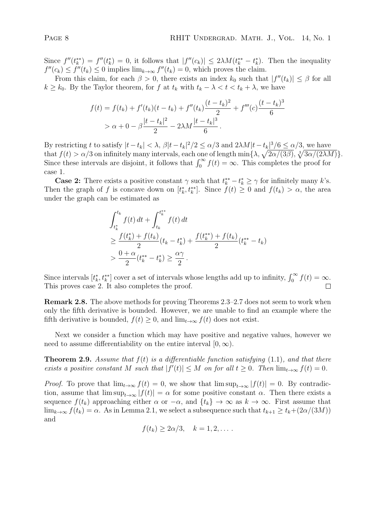Since  $f''(t_k^{**}) = f''(t_k^{*}) = 0$ , it follows that  $|f''(c_k)| \leq 2\lambda M(t_k^{**} - t_k^{*})$ . Then the inequality  $f''(c_k) \le f''(t_k) \le 0$  implies  $\lim_{k \to \infty} f''(t_k) = 0$ , which proves the claim.

From this claim, for each  $\beta > 0$ , there exists an index  $k_0$  such that  $|f''(t_k)| \leq \beta$  for all  $k \geq k_0$ . By the Taylor theorem, for f at  $t_k$  with  $t_k - \lambda < t < t_k + \lambda$ , we have

$$
f(t) = f(t_k) + f'(t_k)(t - t_k) + f''(t_k)\frac{(t - t_k)^2}{2} + f'''(c)\frac{(t - t_k)^3}{6}
$$
  
>  $\alpha + 0 - \beta \frac{|t - t_k|^2}{2} - 2\lambda M \frac{|t - t_k|^3}{6}$ .

By restricting t to satisfy  $|t-t_k| < \lambda$ ,  $\beta |t-t_k|^2/2 \le \alpha/3$  and  $2\lambda M|t-t_k|^3/6 \le \alpha/3$ , we have that  $f(t) > \alpha/3$  on infinitely many intervals, each one of length  $\min\{\lambda, \sqrt{2\alpha/(3\beta)}, \sqrt[3]{3\alpha/(2\lambda M)}\}.$ Since these intervals are disjoint, it follows that  $\int_0^\infty f(t) = \infty$ . This completes the proof for case 1.

**Case 2:** There exists a positive constant  $\gamma$  such that  $t_k^{**} - t_k^* \geq \gamma$  for infinitely many k's. Then the graph of f is concave down on  $[t_k^*, t_k^{**}]$ . Since  $f(t) \geq 0$  and  $f(t_k) > \alpha$ , the area under the graph can be estimated as

$$
\int_{t_k^*}^{t_k} f(t) dt + \int_{t_k}^{t_k^{**}} f(t) dt
$$
\n
$$
\geq \frac{f(t_k^*) + f(t_k)}{2} (t_k - t_k^*) + \frac{f(t_k^{**}) + f(t_k)}{2} (t_k^{**} - t_k)
$$
\n
$$
> \frac{0 + \alpha}{2} (t_k^{**} - t_k^*) \geq \frac{\alpha \gamma}{2}.
$$

Since intervals  $[t_k^*, t_k^{**}]$  cover a set of intervals whose lengths add up to infinity,  $\int_0^\infty f(t) = \infty$ . This proves case 2. It also completes the proof.  $\Box$ 

Remark 2.8. The above methods for proving Theorems 2.3–2.7 does not seem to work when only the fifth derivative is bounded. However, we are unable to find an example where the fifth derivative is bounded,  $f(t) \geq 0$ , and  $\lim_{t\to\infty} f(t)$  does not exist.

Next we consider a function which may have positive and negative values, however we need to assume differentiability on the entire interval  $[0, \infty)$ .

**Theorem 2.9.** Assume that  $f(t)$  is a differentiable function satisfying  $(1.1)$ , and that there exists a positive constant M such that  $|f'(t)| \leq M$  on for all  $t \geq 0$ . Then  $\lim_{t \to \infty} f(t) = 0$ .

*Proof.* To prove that  $\lim_{t\to\infty} f(t) = 0$ , we show that  $\limsup_{t\to\infty} |f(t)| = 0$ . By contradiction, assume that  $\limsup_{t\to\infty} |f(t)| = \alpha$  for some positive constant  $\alpha$ . Then there exists a sequence  $f(t_k)$  approaching either  $\alpha$  or  $-\alpha$ , and  $\{t_k\} \to \infty$  as  $k \to \infty$ . First assume that  $\lim_{k\to\infty} f(t_k) = \alpha$ . As in Lemma 2.1, we select a subsequence such that  $t_{k+1} \geq t_k + (2\alpha/(3M))$ and

$$
f(t_k) \geq 2\alpha/3, \quad k = 1, 2, \dots.
$$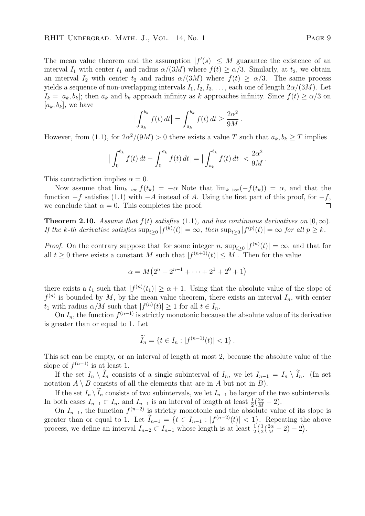The mean value theorem and the assumption  $|f'(s)| \leq M$  guarantee the existence of an interval  $I_1$  with center  $t_1$  and radius  $\alpha/(3M)$  where  $f(t) \ge \alpha/3$ . Similarly, at  $t_2$ , we obtain an interval  $I_2$  with center  $t_2$  and radius  $\alpha/(3M)$  where  $f(t) \ge \alpha/3$ . The same process yields a sequence of non-overlapping intervals  $I_1, I_2, I_3, \ldots$ , each one of length  $2\alpha/(3M)$ . Let  $I_k = [a_k, b_k]$ ; then  $a_k$  and  $b_k$  approach infinity as k approaches infinity. Since  $f(t) \ge \alpha/3$  on  $[a_k, b_k]$ , we have

$$
\left|\int_{a_k}^{b_k} f(t) dt\right| = \int_{a_k}^{b_k} f(t) dt \ge \frac{2\alpha^2}{9M}.
$$

However, from (1.1), for  $2\alpha^2/(9M) > 0$  there exists a value T such that  $a_k, b_k \geq T$  implies

$$
\left|\int_0^{b_k} f(t) dt - \int_0^{a_k} f(t) dt\right| = \left|\int_{a_k}^{b_k} f(t) dt\right| < \frac{2\alpha^2}{9M}.
$$

This contradiction implies  $\alpha = 0$ .

Now assume that  $\lim_{k\to\infty} f(t_k) = -\alpha$  Note that  $\lim_{k\to\infty} (-f(t_k)) = \alpha$ , and that the function  $-f$  satisfies (1.1) with  $-A$  instead of A. Using the first part of this proof, for  $-f$ , we conclude that  $\alpha = 0$ . This completes the proof.  $\Box$ 

**Theorem 2.10.** Assume that  $f(t)$  satisfies (1.1), and has continuous derivatives on  $[0, \infty)$ . If the k-th derivative satisfies  $\sup_{t\geq 0} |f^{(k)}(t)| = \infty$ , then  $\sup_{t\geq 0} |f^{(p)}(t)| = \infty$  for all  $p \geq k$ .

*Proof.* On the contrary suppose that for some integer n,  $\sup_{t\geq 0} |f^{(n)}(t)| = \infty$ , and that for all  $t \geq 0$  there exists a constant M such that  $|f^{(n+1)}(t)| \leq M$ . Then for the value

$$
\alpha = M(2^{n} + 2^{n-1} + \dots + 2^{1} + 2^{0} + 1)
$$

there exists a  $t_1$  such that  $|f^{(n)}(t_1)| \geq \alpha + 1$ . Using that the absolute value of the slope of  $f^{(n)}$  is bounded by M, by the mean value theorem, there exists an interval  $I_n$ , with center  $t_1$  with radius  $\alpha/M$  such that  $|f^{(n)}(t)| \geq 1$  for all  $t \in I_n$ .

On  $I_n$ , the function  $f^{(n-1)}$  is strictly monotonic because the absolute value of its derivative is greater than or equal to 1. Let

$$
\widetilde{I}_n = \{ t \in I_n : |f^{(n-1)}(t)| < 1 \}.
$$

This set can be empty, or an interval of length at most 2, because the absolute value of the slope of  $f^{(n-1)}$  is at least 1.

If the set  $I_n \setminus I_n$  consists of a single subinterval of  $I_n$ , we let  $I_{n-1} = I_n \setminus I_n$ . (In set notation  $A \setminus B$  consists of all the elements that are in A but not in B).

If the set  $I_n \setminus \tilde{I}_n$  consists of two subintervals, we let  $I_{n-1}$  be larger of the two subintervals. In both cases  $I_{n-1} \subset I_n$ , and  $I_{n-1}$  is an interval of length at least  $\frac{1}{2}(\frac{2\alpha}{M}-2)$ .

On  $I_{n-1}$ , the function  $f^{(n-2)}$  is strictly monotonic and the absolute value of its slope is greater than or equal to 1. Let  $I_{n-1} = \{t \in I_{n-1} : |f^{(n-2)}(t)| < 1\}$ . Repeating the above process, we define an interval  $I_{n-2} \subset I_{n-1}$  whose length is at least  $\frac{1}{2}(\frac{1}{2})$  $\frac{1}{2}(\frac{2\alpha}{M}-2)-2).$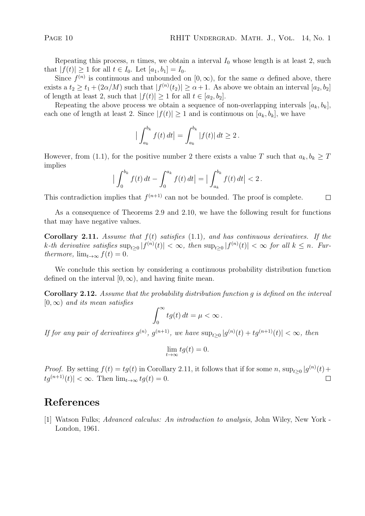$\Box$ 

Repeating this process, n times, we obtain a interval  $I_0$  whose length is at least 2, such that  $|f(t)| \ge 1$  for all  $t \in I_0$ . Let  $[a_1, b_1] = I_0$ .

Since  $f^{(n)}$  is continuous and unbounded on  $[0, \infty)$ , for the same  $\alpha$  defined above, there exists a  $t_2 \ge t_1 + (2\alpha/M)$  such that  $|f^{(n)}(t_2)| \ge \alpha + 1$ . As above we obtain an interval  $[a_2, b_2]$ of length at least 2, such that  $|f(t)| \geq 1$  for all  $t \in [a_2, b_2]$ .

Repeating the above process we obtain a sequence of non-overlapping intervals  $[a_k, b_k]$ , each one of length at least 2. Since  $|f(t)| \geq 1$  and is continuous on  $[a_k, b_k]$ , we have

$$
\left| \int_{a_k}^{b_k} f(t) dt \right| = \int_{a_k}^{b_k} |f(t)| dt \ge 2.
$$

However, from (1.1), for the positive number 2 there exists a value T such that  $a_k, b_k \geq T$ implies

$$
\left|\int_0^{b_k} f(t) dt - \int_0^{a_k} f(t) dt\right| = \left|\int_{a_k}^{b_k} f(t) dt\right| < 2.
$$

This contradiction implies that  $f^{(n+1)}$  can not be bounded. The proof is complete.

As a consequence of Theorems 2.9 and 2.10, we have the following result for functions that may have negative values.

Corollary 2.11. Assume that  $f(t)$  satisfies (1.1), and has continuous derivatives. If the k-th derivative satisfies  $\sup_{t\geq 0} |f^{(n)}(t)| < \infty$ , then  $\sup_{t\geq 0} |f^{(n)}(t)| < \infty$  for all  $k \leq n$ . Furthermore,  $\lim_{t\to\infty} f(t) = 0$ .

We conclude this section by considering a continuous probability distribution function defined on the interval  $[0, \infty)$ , and having finite mean.

Corollary 2.12. Assume that the probability distribution function g is defined on the interval  $[0, \infty)$  and its mean satisfies

$$
\int_0^\infty tg(t)\,dt=\mu<\infty\,.
$$

If for any pair of derivatives  $g^{(n)}$ ,  $g^{(n+1)}$ , we have  $\sup_{t\geq 0} |g^{(n)}(t) + tg^{(n+1)}(t)| < \infty$ , then

$$
\lim_{t \to \infty} t g(t) = 0.
$$

*Proof.* By setting  $f(t) = tg(t)$  in Corollary 2.11, it follows that if for some n,  $\sup_{t\geq 0} |g^{(n)}(t) +$  $|tq^{(n+1)}(t)| < \infty$ . Then  $\lim_{t\to\infty} tq(t) = 0$ .

# References

[1] Watson Fulks; Advanced calculus: An introduction to analysis, John Wiley, New York - London, 1961.